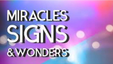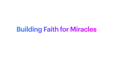#### **Building Faith for Miracles**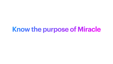**Know the purpose of Miracle**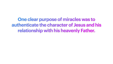**One clear purpose of miracles was to authenticate the character of Jesus and his relationship with his heavenly Father.**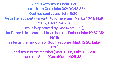- God is with Jesus (John 3:2); 9:6-7; Luke 5:24-25);
- God has sent Jesus (John 5:36);
- 
- Jesus is from God (John 3:2; 9:342-33); Jesus has authority on earth to forgive sins (Mark 2:10-11; Matt.
- - Jesus is approved by God (Acts 2:22);
- the Father is in Jesus and Jesus is in the Father (John 10:37-38; 14:11);
- - in Jesus the kingdom of God has come (Matt. 12:28; Luke 11:20);
		- and Jesus is the Messiah (Matt. 11:1-6; Luke 7:18-23)
			- and the Son of God (Matt. 14:25-33).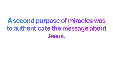#### **A second purpose of miracles was to authenticate the message about Jesus.**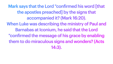Mark says that the Lord "confirmed his word [that the apostles preached] by the signs that accompanied it? (Mark 16:20). When Luke was describing the ministry of Paul and Barnabas at Iconium, he said that the Lord "confirmed the message of his grace by enabling them to do miraculous signs and wonders? (Acts 14:3).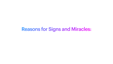#### Reasons for Signs and Miracles: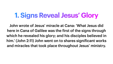## **1. Signs Reveal Jesus' Glory**

John wrote of Jesus' miracle at Cana: 'What Jesus did here in Cana of Galilee was the first of the signs through which he revealed his glory; and his disciples believed in him.' (John 2:11) John went on to shares significant works and miracles that took place throughout Jesus' ministry.

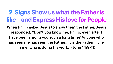#### **2. Signs Show us what the Father is like—and Express His love for People**

- When Philip asked Jesus to show them the Father, Jesus responded, "Don't you know me, Philip, even after I
	- have been among you such a long time? Anyone who
- has seen me has seen the Father…it is the Father, living in me, who is doing his work." (John 14:9-11)

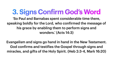#### **3. Signs Confirm God's Word** 'So Paul and Barnabas spent considerable time there, speaking boldly for the Lord, who confirmed the message of his grace by enabling them to perform signs and wonders.' (Acts 14:3)

- 
- 
- 
- Evangelism and signs go hand in hand in the New Testament. God confirms and testifies the Gospel through signs and miracles, and gifts of the Holy Spirit. (Heb 2:3-4, Mark 16:20)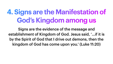# **4. Signs are the Manifestation of God's Kingdom among us**

Signs are the evidence of the message and establishment of Kingdom of God. Jesus said, '…if it is by the Spirit of God that I drive out demons, then the kingdom of God has come upon you.' (Luke 11:20)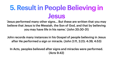### **5. Result in People Believing in Jesus**

'Jesus performed many other signs… But these are written that you may believe that Jesus is the Messiah, the Son of God, and that by believing you may have life in his name.' (John 20:30-31)

John records many instances in his Gospel of people believing in Jesus after He performed a sign or miracle. (John 2:11, 2:23; 4:39, 4:53)

In Acts, peoples believed after signs and miracles were performed. (Acts 9:42)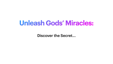#### **Unleash Gods' Miracles:**

Discover the Secret...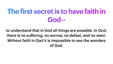## **The first secret is to have faith in God--**

to understand that in God all things are possible. In God, there is no suffering, no sorrow, no defeat, and no want. Without faith in God it is impossible to see the wonders of God.

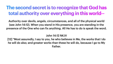#### **The second secret is to recognize that God has total authority over everything in this world--**

Authority over devils, angels, circumstances, and all of the physical world (see John 14:12). When you stand in His presence, you are standing in the presence of the One who can fix anything. All He has to do is speak the word.

#### John 14:12 NKJV



[12] "Most assuredly, I say to you, he who believes in Me, the works that I do he will do also; and greater works than these he will do, because I go to My Father.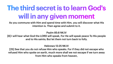# **The third secret is to learn God's will in any given moment**

- -
- -
- 

As you commune with Him and spend time with Him, you will discover what His intention is. Then agree and submit to it.

Psalm 85:8 NKJV

[8] I will hear what God the LORD will speak, For He will speak peace To His people and to His saints; But let them not turn back to folly.

Hebrews 12:25 NKJV

[25] See that you do not refuse Him who speaks. For if they did not escape who refused Him who spoke on earth, much more shall we not escape if we turn away from Him who speaks from heaven,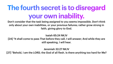# **The fourth secret is to disregard your own inability.**

Don't consider that the task being assigned to you seems impossible. Don't think only about your own inabilities, or your previous failures; rather grow strong in faith, giving glory to God.

Isaiah 65:24 NKJV [24] "It shall come to pass That before they call, I will answer; And while they are still speaking, I will hear.

Jeremiah 32:27 NKJV [27] "Behold, I am the LORD, the God of all flesh. Is there anything too hard for Me?